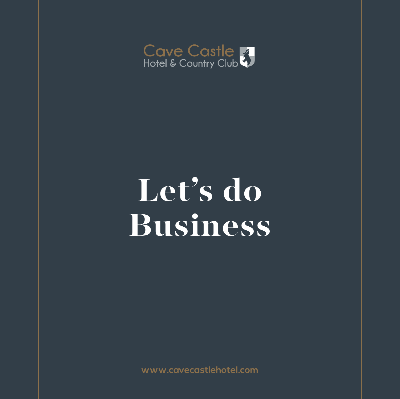

# **Let's do Business**

**www.cavecastlehotel.com**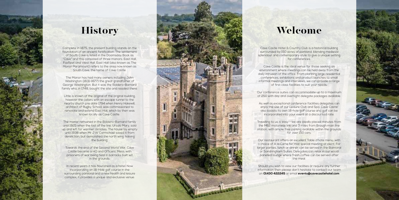

## **History**

Complete in 1875, the present building stands on the foundation of an ancient fortification. The settlement of South Cave is listed in the Doomsday Book as "Cave" and this consisted of three manors: East Hall, Faxfleet and West Hall. East Hall (also known as The Manor Paramount) refers to the area now known as South Cave, the home of Cave Castle.

The Manor has had many owners including John Washington (1631-1677) the great grandfather of George Washington. But it was the Boldero-Barnard family who, in 1748, bought the site and resided there.

Little is known of the original of the original building, however the cellars with an escape tunnel to the nearby church pre date 1794 when Henry Hakewill, architect of Rugby School, was commissioned to renovate and extend East Hall, which by then was known locally as Cave Castle.

The manor remained in the Boldero-Barnard family until 1925 when the last of the line, Ursula Mary, sold up and left for warmer climates. The house lay empty until 1938 when Mr J W Carmichael saved it from dereliction, but demolished the north wing, halving the building.

Towards the end of the Second World War, Cave Castle became a HQ and Officers' Mess, with prisoners of war being held in barracks built wit in the grounds.

In recent years it has flourished as a hotel. Now incorporating an 18-Hole golf course in the surrounding parkland and a new health and leisure complex, it provides a unique and exclusive venue.



### **Welcome**

Should you wish to view our facilities or require any further information then please don't hesitate to contact our team on **01430 422245** or email **events@cavecastlehotel.com**



Cave Castle Hotel & Country Club is a historical building surrounded by 150 acres of parkland, blending medieval splendour and contemporary style to give a unique setting for conferences.

Cave Castle is the ideal venue for those seeking an environment where meetings can be held away from the daily intrusion of the office. From planning large residential conferences, exhibitions and product launches to small informal meetings and interviews, we can provide a range of first class facilities to suit your needs.

Our conference suites can accommodate up to a maximum of 250 with day and overnight delegate packages available.

As well as exceptional conference facilities delegates can enjoy the use of our Leisure Club and Spa. Cave Castle also boasts its own 18-hole golf course and golf can be incorporated into your event at a discounted rate.

Travelling to us is easy - we are ideally placed minutes from the M62 motorway link and 3 miles from Brough main line station, with ample free parking available within the grounds for over 150 cars.

Our restaurant offers an excellent Table d'hote menu, with a choice of A la Carte for that special meeting or client. For larger parties, lunch or dinner can be served in the Balmoral or Sandringham Suites. Delegates can relax in our wood panelled lounge where fresh coffee can be served after the meal.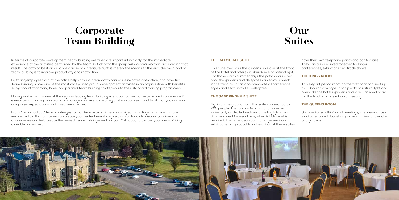## **Corporate Team Building**

In terms of corporate development, team-building exercises are important not only for the immediate experience of the activities performed by the team, but also for the group skills, communication and bonding that result. The activity, be it an obstacle course or a treasure hunt, is merely the means to the end: the main goal of team-building is to improve productivity and motivation.

By taking employees out of the office helps groups break down barriers, eliminates distraction, and have fun. Team building is now one of the most widely used group-development activities in an organisation with benefits so significant that many have incorporated team building strategies into their standard training programmes.

Having worked with some of the region's leading team building event companies our experienced conference & events team can help you plan and manage your event, meaning that you can relax and trust that you and your company's expectations and objectives are met.

From "It's a Knockout" team challenges to murder mystery dinners, clay pigeon shooting and so much more we are certain that our team can create your perfect event so give us a call today to discuss your ideas or of course we can help create the perfect team building event for you. Call today to discuss your ideas. Pricing available on request.

### **THE BALMORAL SUITE**

This suite overlooks the gardens and lake at the front of the hotel and offers an abundance of natural light. For those warm summer days the patio doors open onto the gardens and delegates can enjoy a break in the fresh air. It can accommodate all conference styles and seat up to 100 delegates.

#### **THE SANDRINGHAM SUITE**

Again on the ground floor, this suite can seat up to 200 people. The room is fully air conditioned with individually controlled sections of ceiling lights and dimmers ideal for visual aids, when full blackout is required. This is an ideal room for large seminars, exhibitions and product launches. Both of these suites



have their own telephone points and bar facilities. They can also be linked together for larger conferences, exhibitions and trade shows.

### **THE KINGS ROOM**

This elegant period room on the first floor can seat up to 18 boardroom style. It has plenty of natural light and overlooks the hotel's gardens and lake – an ideal room for the traditional style board meeting.

#### **THE QUEENS ROOM**

Suitable for small/informal meetings, interviews or as a syndicate room. It boasts a panoramic view of the lake and gardens.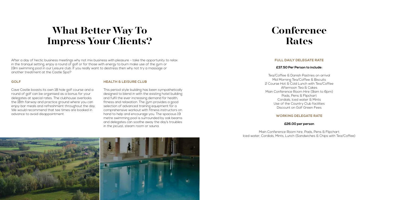## **What Better Way To Impress Your Clients?**

## **Conference Rates**

After a day of hectic business meetings why not mix business with pleasure - take the opportunity to relax in the tranquil setting, enjoy a round of golf or for those with energy to burn make use of the gym or 19m swimming pool in our Leisure club. If you really want to destress then why not try a massage or another treatment at the Castle Spa?

### **FULL DAILY DELEGATE RATE**

### **£37.50 Per Person to include:**

Tea/Coffee & Danish Pastries on arrival Mid Morning Tea/Coffee & Biscuits 2 Course Hot & Cold Lunch with Tea/Coffee Afternoon Tea & Cakes Main Conference Room Hire (9am to 6pm) Pads, Pens & Flipchart Cordials, Iced water & Mints Use of the Country Club facilities Discount on Golf Green Fees

### **WORKING DELEGATE RATE**

#### **£26.00 per person**

Main Conference Room hire, Pads, Pens & Flipchart Iced water, Cordials, Mints, Lunch (Sandwiches & Chips with Tea/Coffee)



#### **GOLF**

Cave Castle boasts its own 18 hole golf course and a round of golf can be organised as a bonus for your delegates at special rates. The clubhouse overlooks the 18th fairway and practice ground where you can enjoy bar meals and refreshment throughout the day. We would recommend that tee times are booked in advance to avoid disappointment.

#### **HEALTH & LEISURE CLUB**

This period style building has been sympathetically designed to blend in with the existing hotel building and fulfil the ever increasing demand for health, fitness and relaxation. The gym provides a good selection of advanced training equipment for a comprehensive workout with fitness instructors on hand to help and encourage you. The spacious 19 metre swimming pool is surrounded by oak beams and delegates can soothe away the day's troubles in the jacuzzi, steam room or sauna.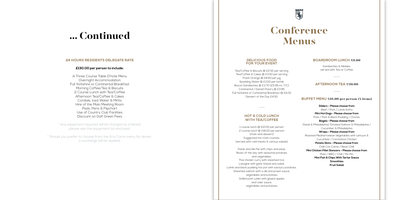### **... Continued**

#### **24 HOURS RESIDENTS DELEGATE RATE**

#### **£130.00 per person to include:**

A Three Course Table D'hote Menu Overnight Accommodation Full Yorkshire or Continental Breakfast Morning Coffee/Tea & Biscuits 2 Course Lunch with Tea/Coffee Afternoon Tea/Coffee & Cakes Cordials, Iced Water & Mints Hire of the Main Meeting Room Pads, Pens & Flipchart Use of Country Club Facilities Discount on Golf Green Fees

\* Any equipment required will be charged as ordered, please see the equipment list enclosed.

\* Should you prefer to choose from the A la Carte menu for dinner, a surcharge will be applied.



#### **DELICIOUS FOOD FOR YOUR EVENT**

Tea/Coffee & Biscuits @ £2.50 per serving Tea/Coffee & Cakes @ £3.50 per serving Fresh Orange @ £8.50 per jug Sparkling Water @ £3.50 per bottle Bacon Sandwiches @ £3.70 (£5.95 inc T/C) Continental / Danish Pastry @ £3.95 Full Yorkshire or Continental Breakfast @ £11.00 Dessert of the Day £4.50

#### **BOARDROOM LUNCH £9.00**

Sandwiches & Nibbles, served with Tea or Coffee

#### **AFTERNOON TEA £20.00**

#### **HOT & COLD LUNCH WITH TEA/COFFEE**

1 course lunch @ £12.00 per person 2 course lunch @ £16.00 per person (main and dessert) Suggested hot main courses: (served with cold meats & various salads)

Steak and Ale Pie with chips and peas, Roast of the day with seasonal potatoes and vegetables, Thai chicken curry with steamed rice, Lasagne with garlic bread and salad, Lamb and black pudding hot pot with savoury potatoes, Steamed salmon with a dill and prawn sauce, vegetables and potatoes Grilled pork cutlet with glazed apples and cider sauce, vegetables and potatoes

#### **BUFFET MENU £16.00 per person (4 items)**

**Sliders – Please choose from** Beef / Pork / Lamb Kofta **Mini Hot Dogs - Please choose from** Pork / Pork & Black Pudding / Chorizo **Bagels - Please choose from** Steak & Philadelphia/ Smoked Salmon & Philadelphia / Cucumber & Philadelphia **Wraps – Please choose from** Roasted Mediterranean Vegetables with Lettuce & Cucumber / Coronation Chicken **Potato Skins – Please choose from** Chilli Con Carne / Bean Chilli **Mini Chicken Fillet Skewers – Please choose from** Plain / BBQ / Chilli / Piri Piri **Mini Fish & Chips With Tartar Sauce Smoothies Fruit Salad**

## **Conference Menus**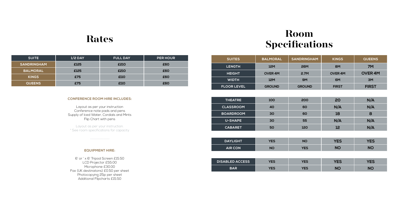#### **CONFERENCE ROOM HIRE INCLUDES:**

Layout as per your instruction Conference note pads and pens Supply of Iced Water, Cordials and Mints Flip Chart with pens

6' or ' x 6' Tripod Screen £15.50 LCD Projector £55.00 Microphone £30.00 Fax (UK destinatons) £0.50 per sheet Photocopying 25p per sheet Additional Flipcharts £15.50

Layout as per your instruction. \* See room specifications for capacity

 $[ \quad \ \ \, \ldots \quad \ \ \, \ldots \quad \ \ \, \ldots \quad \ \ \, \ldots \quad \ \ \, \ldots \quad \ \ \, \ldots \quad \ \ \, \ldots \quad \ \ \, \ldots \quad \ \, \ldots \quad \ \, \ldots \quad \ \, \ldots \quad \ \, \ldots \quad \ \, \ldots \quad \ \, \ldots \quad \ \, \ldots \quad \ \, \ldots \quad \ \, \ldots \quad \ \, \ldots \quad \ \, \ldots \quad \ \, \ldots \quad \ \, \ldots \quad \ \, \ldots \quad \ \$ 

### **EQUIPMENT HIRE:**

## **Rates Room Specifications**

| <b>SUITE</b>       | $1/2$ DAY | <b>FULL DAY</b> | <b>PER HOUR</b> |
|--------------------|-----------|-----------------|-----------------|
| <b>SANDRINGHAM</b> | £125      | £210            | £60             |
| <b>BALMORAL</b>    | £125      | £210            | £60             |
| <b>KINGS</b>       | £75       | £110            | £60             |
| <b>QUEENS</b>      | £75       | £110            | £60             |

| <b>SUITES</b>      | <b>BALMORAL</b> | <b>SANDRINGHAM</b> | <b>KINGS</b>   | <b>QUEENS</b>  |
|--------------------|-----------------|--------------------|----------------|----------------|
| <b>LENGTH</b>      | 12M             | <b>26M</b>         | 8M             | <b>7M</b>      |
| <b>HEIGHT</b>      | <b>OVER 4M</b>  | 2.7M               | <b>OVER 4M</b> | <b>OVER 4M</b> |
| <b>WIDTH</b>       | 12M             | <b>9M</b>          | 6M             | 3M             |
| <b>FLOOR LEVEL</b> | <b>GROUND</b>   | <b>GROUND</b>      | <b>FIRST</b>   | <b>FIRST</b>   |

| <b>THEATRE</b>   | 100 | <b>200</b> | 20  | N/A |
|------------------|-----|------------|-----|-----|
| <b>CLASSROOM</b> | 40  | 60         | N/A | N/A |
| <b>BOARDROOM</b> | 30  | 60         | 18  | 8   |
| <b>U-SHAPE</b>   | 30  | 55         | N/A | N/A |
| <b>CABARET</b>   | 50  | 120        | 12  | N/A |

| <b>DAYLIGHT</b> | <b>YES</b> | NC  | <b>VEC</b><br>co                   | YES                      |
|-----------------|------------|-----|------------------------------------|--------------------------|
| <b>AID CON</b>  | NO         | YES | $\overline{\phantom{a}}$<br>$\sim$ | $\overline{\phantom{a}}$ |

| <b>DISABLED ACCESS</b> | <b>VEC</b> | <b>VEC</b>       | $T^{\prime}$ | $\mathbf{r}$ |
|------------------------|------------|------------------|--------------|--------------|
|                        | ᆷ          | −−               | $-$          | Le           |
| <b>BAR</b>             | TEC<br>æ   | $\sqrt{2}$<br>-- |              |              |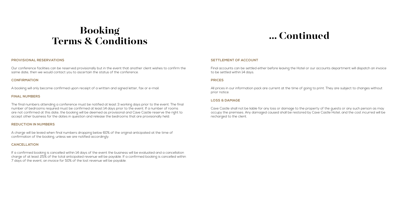## **Booking Terms & Conditions ... Continued**

#### **PROVISIONAL RESERVATIONS**

Our conference facilities can be reserved provisionally but in the event that another client wishes to confirm the same date, then we would contact you to ascertain the status of the conference.

#### **CONFIRMATION**

A booking will only become confirmed upon receipt of a written and signed letter, fax or e-mail.

#### **FINAL NUMBERS**

The final numbers attending a conference must be notified at least 3 working days prior to the event. The final number of bedrooms required must be confirmed at least 14 days prior to the event. If a number of rooms are not confirmed at this date, the booking will be deemed as provisional and Cave Castle reserve the right to accept other business for the dates in question and release the bedrooms that are provisionally held.

#### **REDUCTION IN NUMBERS**

A charge will be levied when final numbers dropping below 60% of the original anticipated at the time of confirmation of the booking, unless we are notified accordingly.

#### **CANCELLATION**

If a confirmed booking is cancelled within 14 days of the event the business will be evaluated and a cancellation charge of at least 25% of the total anticipated revenue will be payable. If a confirmed booking is cancelled within 7 days of the event, an invoice for 50% of the lost revenue will be payable.

#### **SETTLEMENT OF ACCOUNT**

Final accounts can be settled either before leaving the Hotel or our accounts department will dispatch an invoice to be settled within 14 days.

#### **PRICES**

All prices in our information pack are current at the time of going to print. They are subject to changes without prior notice.

#### **LOSS & DAMAGE**

Cave Castle shall not be liable for any loss or damage to the property of the guests or any such person as may occupy the premises. Any damaged caused shall be restored by Cave Castle Hotel, and the cost incurred will be recharged to the client.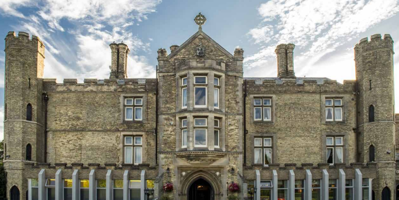